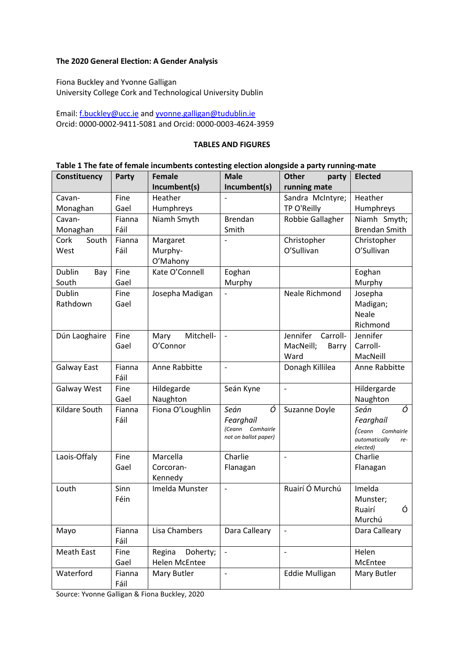## **The 2020 General Election: A Gender Analysis**

Fiona Buckley and Yvonne Galligan University College Cork and Technological University Dublin

Email: [f.buckley@ucc.ie](mailto:f.buckley@ucc.ie) an[d yvonne.galligan@tudublin.ie](mailto:yvonne.galligan@tudublin.ie) Orcid: 0000-0002-9411-5081 and Orcid: 0000-0003-4624-3959

#### **TABLES AND FIGURES**

### **Table 1 The fate of female incumbents contesting election alongside a party running-mate**

| Constituency      | Party  | <b>Female</b>        | <b>Male</b>                                 | <b>Other</b><br>party | <b>Elected</b>                   |  |
|-------------------|--------|----------------------|---------------------------------------------|-----------------------|----------------------------------|--|
|                   |        | Incumbent(s)         | Incumbent(s)                                | running mate          |                                  |  |
| Cavan-            | Fine   | Heather              |                                             | Sandra McIntyre;      | Heather                          |  |
| Monaghan          | Gael   | Humphreys            |                                             | TP O'Reilly           | Humphreys                        |  |
| Cavan-            | Fianna | Niamh Smyth          | <b>Brendan</b>                              | Robbie Gallagher      | Niamh Smyth;                     |  |
| Monaghan          | Fáil   |                      | Smith                                       |                       | <b>Brendan Smith</b>             |  |
| South<br>Cork     | Fianna | Margaret             |                                             | Christopher           | Christopher                      |  |
| West              | Fáil   | Murphy-              |                                             | O'Sullivan            | O'Sullivan                       |  |
|                   |        | O'Mahony             |                                             |                       |                                  |  |
| Dublin<br>Bay     | Fine   | Kate O'Connell       | Eoghan                                      |                       | Eoghan                           |  |
| South             | Gael   |                      | Murphy                                      |                       | Murphy                           |  |
| Dublin            | Fine   | Josepha Madigan      |                                             | Neale Richmond        | Josepha                          |  |
| Rathdown          | Gael   |                      |                                             |                       | Madigan;                         |  |
|                   |        |                      |                                             |                       | <b>Neale</b>                     |  |
|                   |        |                      |                                             |                       | Richmond                         |  |
| Dún Laoghaire     | Fine   | Mitchell-<br>Mary    | $\frac{1}{2}$                               | Jennifer<br>Carroll-  | Jennifer                         |  |
|                   | Gael   | O'Connor             |                                             | MacNeill;<br>Barry    | Carroll-                         |  |
|                   |        |                      |                                             | Ward                  | MacNeill                         |  |
| Galway East       | Fianna | Anne Rabbitte        | $\overline{a}$                              | Donagh Killilea       | Anne Rabbitte                    |  |
|                   | Fáil   |                      |                                             |                       |                                  |  |
| Galway West       | Fine   | Hildegarde           | Seán Kyne                                   | $\blacksquare$        | Hildergarde                      |  |
|                   | Gael   | Naughton             |                                             |                       | Naughton                         |  |
| Kildare South     | Fianna | Fiona O'Loughlin     | Ó<br>Seán                                   | Suzanne Doyle         | Ó<br>Seán                        |  |
|                   | Fáil   |                      | Fearghail                                   |                       | Fearghail                        |  |
|                   |        |                      | (Ceann<br>Comhairle<br>not on ballot paper) |                       | (Ceann<br>Comhairle              |  |
|                   |        |                      |                                             |                       | automatically<br>re-<br>elected) |  |
| Laois-Offaly      | Fine   | Marcella             | Charlie                                     | $\overline{a}$        | Charlie                          |  |
|                   | Gael   | Corcoran-            | Flanagan                                    |                       | Flanagan                         |  |
|                   |        | Kennedy              |                                             |                       |                                  |  |
| Louth             | Sinn   | Imelda Munster       | $\overline{a}$                              | Ruairí Ó Murchú       | Imelda                           |  |
|                   | Féin   |                      |                                             |                       | Munster;                         |  |
|                   |        |                      |                                             |                       | Ó<br>Ruairí                      |  |
|                   |        |                      |                                             |                       | Murchú                           |  |
| Mayo              | Fianna | Lisa Chambers        | Dara Calleary                               | $\qquad \qquad -$     | Dara Calleary                    |  |
|                   | Fáil   |                      |                                             |                       |                                  |  |
| <b>Meath East</b> | Fine   | Regina<br>Doherty;   | $\overline{\phantom{a}}$                    | $\blacksquare$        | Helen                            |  |
|                   | Gael   | <b>Helen McEntee</b> |                                             |                       | McEntee                          |  |
| Waterford         | Fianna | Mary Butler          | ÷                                           | <b>Eddie Mulligan</b> | Mary Butler                      |  |
|                   | Fáil   |                      |                                             |                       |                                  |  |

Source: Yvonne Galligan & Fiona Buckley, 2020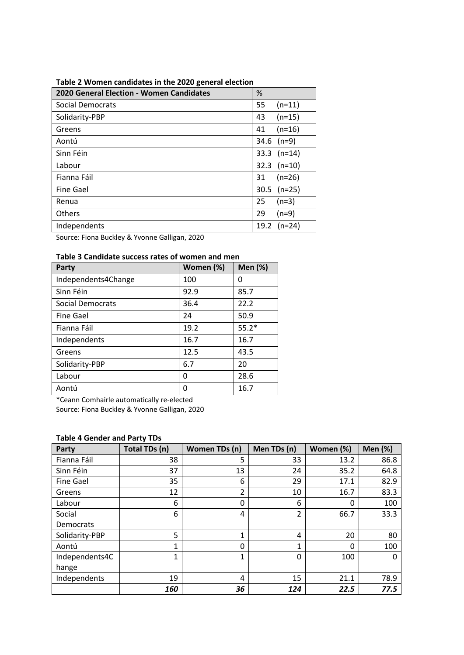# **Table 2 Women candidates in the 2020 general election**

| 2020 General Election - Women Candidates | %                |  |  |
|------------------------------------------|------------------|--|--|
| <b>Social Democrats</b>                  | $(n=11)$<br>55   |  |  |
| Solidarity-PBP                           | $(n=15)$<br>43   |  |  |
| Greens                                   | $(n=16)$<br>41   |  |  |
| Aontú                                    | $34.6$ (n=9)     |  |  |
| Sinn Féin                                | 33.3 $(n=14)$    |  |  |
| Labour                                   | $32.3$ (n=10)    |  |  |
| Fianna Fáil                              | $(n=26)$<br>31   |  |  |
| <b>Fine Gael</b>                         | $30.5$ (n=25)    |  |  |
| Renua                                    | 25<br>$(n=3)$    |  |  |
| <b>Others</b>                            | 29<br>$(n=9)$    |  |  |
| Independents                             | $(n=24)$<br>19.2 |  |  |

Source: Fiona Buckley & Yvonne Galligan, 2020

# **Table 3 Candidate success rates of women and men**

| <b>Party</b>        | Women (%) | <b>Men (%)</b> |
|---------------------|-----------|----------------|
| Independents4Change | 100       | 0              |
| Sinn Féin           | 92.9      | 85.7           |
| Social Democrats    | 36.4      | 22.2           |
| <b>Fine Gael</b>    | 24        | 50.9           |
| Fianna Fáil         | 19.2      | $55.2*$        |
| Independents        | 16.7      | 16.7           |
| Greens              | 12.5      | 43.5           |
| Solidarity-PBP      | 6.7       | 20             |
| Labour              | 0         | 28.6           |
| Aontú               | 0         | 16.7           |

\*Ceann Comhairle automatically re-elected

Source: Fiona Buckley & Yvonne Galligan, 2020

### **Table 4 Gender and Party TDs**

| <b>Party</b>     | Total TDs (n) | Women TDs (n)  | Men TDs (n) | Women (%) | <b>Men (%)</b> |
|------------------|---------------|----------------|-------------|-----------|----------------|
| Fianna Fáil      | 38            | 5              | 33          | 13.2      | 86.8           |
| Sinn Féin        | 37            | 13             | 24          | 35.2      | 64.8           |
| <b>Fine Gael</b> | 35            | 6              | 29          | 17.1      | 82.9           |
| Greens           | 12            | $\overline{2}$ | 10          | 16.7      | 83.3           |
| Labour           | 6             | 0              | 6           | 0         | 100            |
| Social           | 6             | 4              | 2           | 66.7      | 33.3           |
| Democrats        |               |                |             |           |                |
| Solidarity-PBP   | 5             | 1              | 4           | 20        | 80             |
| Aontú            | 1             | 0              | 1           | 0         | 100            |
| Independents4C   | 1             | 1              | 0           | 100       | Ω              |
| hange            |               |                |             |           |                |
| Independents     | 19            | 4              | 15          | 21.1      | 78.9           |
|                  | 160           | 36             | 124         | 22.5      | 77.5           |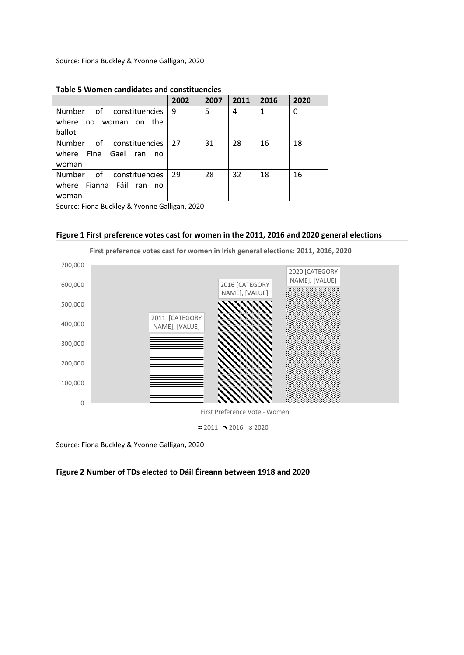Source: Fiona Buckley & Yvonne Galligan, 2020

|                                                                | 2002 | 2007 | 2011 | 2016         | 2020 |
|----------------------------------------------------------------|------|------|------|--------------|------|
| Number of constituencies<br>where no woman on the<br>ballot    | l 9  | 5    | 4    | $\mathbf{1}$ | 0    |
| Number of constituencies<br>where Fine Gael ran<br>no<br>woman | 27   | 31   | 28   | 16           | 18   |
| Number of constituencies<br>where Fianna Fáil ran no<br>woman  | 29   | 28   | 32   | 18           | 16   |

#### **Table 5 Women candidates and constituencies**

Source: Fiona Buckley & Yvonne Galligan, 2020





Source: Fiona Buckley & Yvonne Galligan, 2020

## **Figure 2 Number of TDs elected to Dáil Éireann between 1918 and 2020**